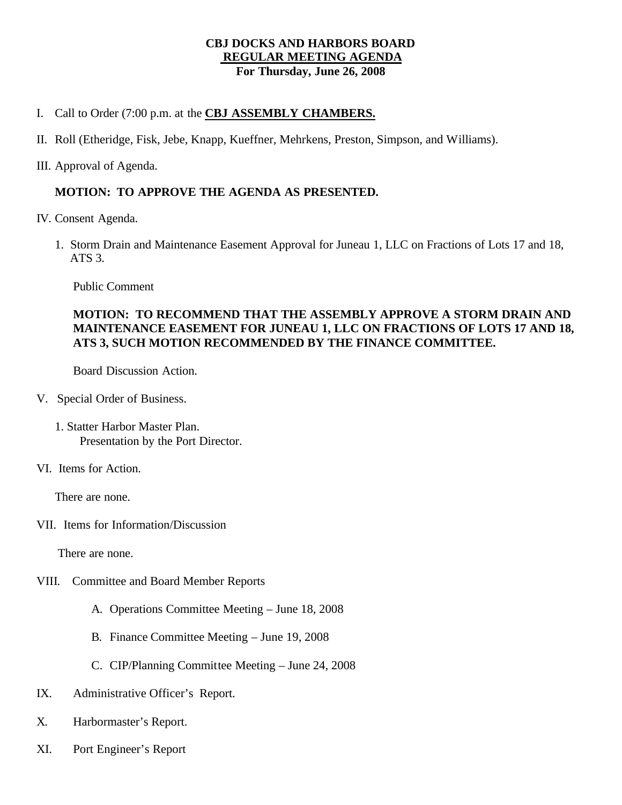### **CBJ DOCKS AND HARBORS BOARD REGULAR MEETING AGENDA For Thursday, June 26, 2008**

- I. Call to Order (7:00 p.m. at the **CBJ ASSEMBLY CHAMBERS.**
- II. Roll (Etheridge, Fisk, Jebe, Knapp, Kueffner, Mehrkens, Preston, Simpson, and Williams).
- III. Approval of Agenda.

# **MOTION: TO APPROVE THE AGENDA AS PRESENTED.**

- IV. Consent Agenda.
	- 1. Storm Drain and Maintenance Easement Approval for Juneau 1, LLC on Fractions of Lots 17 and 18, ATS 3.

Public Comment

# **MOTION: TO RECOMMEND THAT THE ASSEMBLY APPROVE A STORM DRAIN AND MAINTENANCE EASEMENT FOR JUNEAU 1, LLC ON FRACTIONS OF LOTS 17 AND 18, ATS 3, SUCH MOTION RECOMMENDED BY THE FINANCE COMMITTEE.**

Board Discussion Action.

- V. Special Order of Business.
	- 1. Statter Harbor Master Plan. Presentation by the Port Director.
- VI. Items for Action.

There are none.

VII. Items for Information/Discussion

There are none.

- VIII. Committee and Board Member Reports
	- A. Operations Committee Meeting June 18, 2008
	- B. Finance Committee Meeting June 19, 2008
	- C. CIP/Planning Committee Meeting June 24, 2008
- IX. Administrative Officer's Report.
- X. Harbormaster's Report.
- XI. Port Engineer's Report